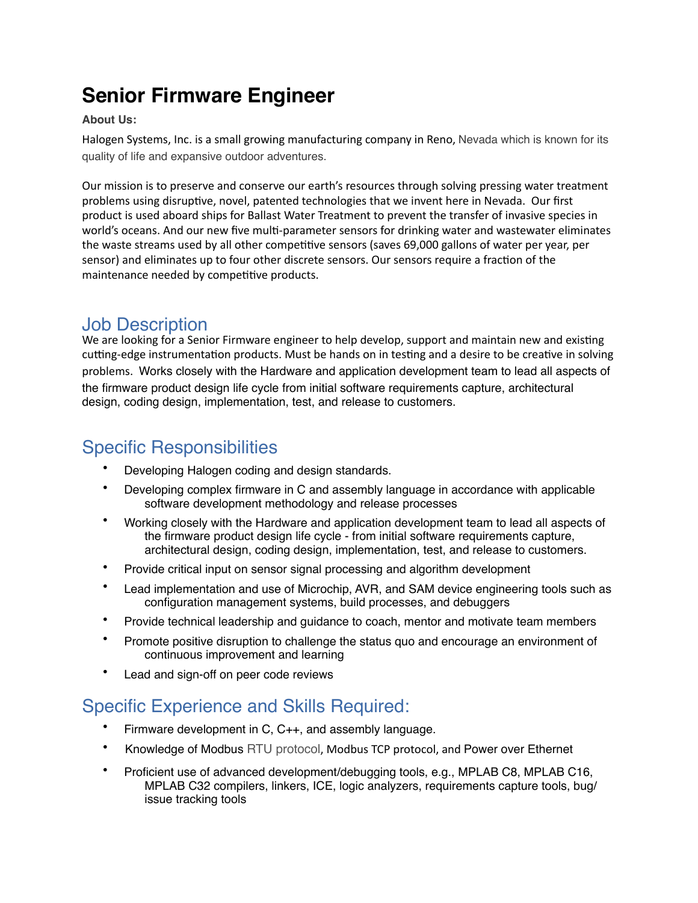# **Senior Firmware Engineer**

#### **About Us:**

Halogen Systems, Inc. is a small growing manufacturing company in Reno, Nevada which is known for its quality of life and expansive outdoor adventures.

Our mission is to preserve and conserve our earth's resources through solving pressing water treatment problems using disruptive, novel, patented technologies that we invent here in Nevada. Our first product is used aboard ships for Ballast Water Treatment to prevent the transfer of invasive species in world's oceans. And our new five multi-parameter sensors for drinking water and wastewater eliminates the waste streams used by all other competitive sensors (saves 69,000 gallons of water per year, per sensor) and eliminates up to four other discrete sensors. Our sensors require a fraction of the maintenance needed by competitive products.

#### Job Description

We are looking for a Senior Firmware engineer to help develop, support and maintain new and existing cutting-edge instrumentation products. Must be hands on in testing and a desire to be creative in solving problems. Works closely with the Hardware and application development team to lead all aspects of the firmware product design life cycle from initial software requirements capture, architectural design, coding design, implementation, test, and release to customers.

## Specific Responsibilities

- Developing Halogen coding and design standards.
- Developing complex firmware in C and assembly language in accordance with applicable software development methodology and release processes
- Working closely with the Hardware and application development team to lead all aspects of the firmware product design life cycle - from initial software requirements capture, architectural design, coding design, implementation, test, and release to customers.
- Provide critical input on sensor signal processing and algorithm development
- Lead implementation and use of Microchip, AVR, and SAM device engineering tools such as configuration management systems, build processes, and debuggers
- Provide technical leadership and guidance to coach, mentor and motivate team members
- Promote positive disruption to challenge the status quo and encourage an environment of continuous improvement and learning
- Lead and sign-off on peer code reviews

## Specific Experience and Skills Required:

- Firmware development in C, C++, and assembly language.
- Knowledge of Modbus RTU protocol, Modbus TCP protocol, and Power over Ethernet
- Proficient use of advanced development/debugging tools, e.g., MPLAB C8, MPLAB C16, MPLAB C32 compilers, linkers, ICE, logic analyzers, requirements capture tools, bug/ issue tracking tools